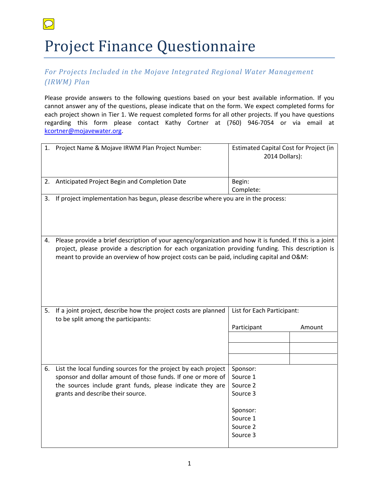## Project Finance Questionnaire

 $\boxed{\bigcirc}$ 

## *For Projects Included in the Mojave Integrated Regional Water Management (IRWM) Plan*

Please provide answers to the following questions based on your best available information. If you cannot answer any of the questions, please indicate that on the form. We expect completed forms for each project shown in Tier 1. We request completed forms for all other projects. If you have questions regarding this form please contact Kathy Cortner at (760) 946-7054 or via email at [kcortner@mojavewater.org.](mailto:kcortner@mojavewater.org)

|    | 1. Project Name & Mojave IRWM Plan Project Number:                                                                                                                                                                                                                                                         | Estimated Capital Cost for Project (in<br>2014 Dollars): |  |
|----|------------------------------------------------------------------------------------------------------------------------------------------------------------------------------------------------------------------------------------------------------------------------------------------------------------|----------------------------------------------------------|--|
| 2. | Anticipated Project Begin and Completion Date                                                                                                                                                                                                                                                              | Begin:<br>Complete:                                      |  |
| 3. | If project implementation has begun, please describe where you are in the process:                                                                                                                                                                                                                         |                                                          |  |
| 4. | Please provide a brief description of your agency/organization and how it is funded. If this is a joint<br>project, please provide a description for each organization providing funding. This description is<br>meant to provide an overview of how project costs can be paid, including capital and O&M: |                                                          |  |
| 5. | If a joint project, describe how the project costs are planned<br>to be split among the participants:                                                                                                                                                                                                      | List for Each Participant:<br>Participant<br>Amount      |  |
|    |                                                                                                                                                                                                                                                                                                            |                                                          |  |
|    |                                                                                                                                                                                                                                                                                                            |                                                          |  |
|    |                                                                                                                                                                                                                                                                                                            |                                                          |  |
|    | 6. List the local funding sources for the project by each project<br>sponsor and dollar amount of those funds. If one or more of<br>the sources include grant funds, please indicate they are<br>grants and describe their source.                                                                         | Sponsor:<br>Source 1<br>Source 2<br>Source 3             |  |
|    |                                                                                                                                                                                                                                                                                                            | Sponsor:<br>Source 1<br>Source 2<br>Source 3             |  |